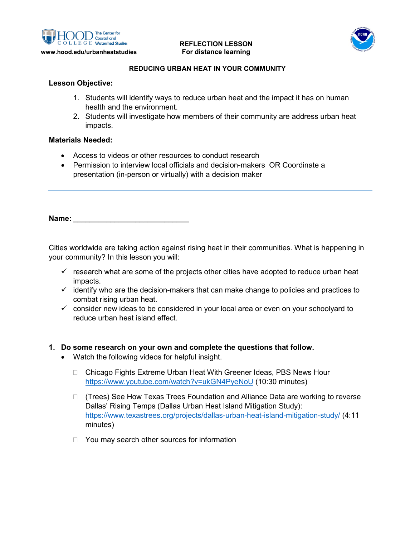



#### **REDUCING URBAN HEAT IN YOUR COMMUNITY**

## **Lesson Objective:**

- 1. Students will identify ways to reduce urban heat and the impact it has on human health and the environment.
- 2. Students will investigate how members of their community are address urban heat impacts.

## **Materials Needed:**

- Access to videos or other resources to conduct research
- Permission to interview local officials and decision-makers OR Coordinate a presentation (in-person or virtually) with a decision maker

**Name: \_\_\_\_\_\_\_\_\_\_\_\_\_\_\_\_\_\_\_\_\_\_\_\_\_\_\_\_**

Cities worldwide are taking action against rising heat in their communities. What is happening in your community? In this lesson you will:

- $\checkmark$  research what are some of the projects other cities have adopted to reduce urban heat impacts.
- $\checkmark$  identify who are the decision-makers that can make change to policies and practices to combat rising urban heat.
- $\checkmark$  consider new ideas to be considered in your local area or even on your schoolyard to reduce urban heat island effect.

#### **1. Do some research on your own and complete the questions that follow.**

- Watch the following videos for helpful insight.
	- □ Chicago Fights Extreme Urban Heat With Greener Ideas, PBS News Hour <https://www.youtube.com/watch?v=ukGN4PyeNoU> (10:30 minutes)
	- (Trees) See How Texas Trees Foundation and Alliance Data are working to reverse Dallas' Rising Temps (Dallas Urban Heat Island Mitigation Study): <https://www.texastrees.org/projects/dallas-urban-heat-island-mitigation-study/> (4:11 minutes)
	- $\Box$  You may search other sources for information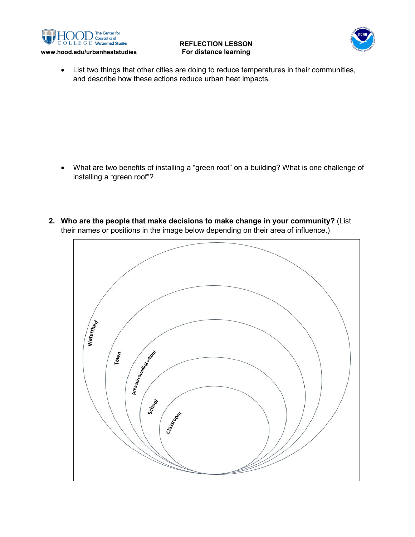



• List two things that other cities are doing to reduce temperatures in their communities, and describe how these actions reduce urban heat impacts.

- What are two benefits of installing a "green roof" on a building? What is one challenge of installing a "green roof"?
- **2. Who are the people that make decisions to make change in your community?** (List their names or positions in the image below depending on their area of influence.)

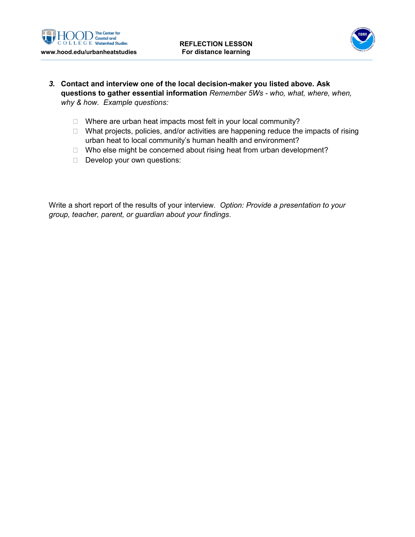



- *3.* **Contact and interview one of the local decision-maker you listed above. Ask questions to gather essential information** *Remember 5Ws - who, what, where, when, why & how. Example questions:*
	- $\Box$  Where are urban heat impacts most felt in your local community?
	- $\Box$  What projects, policies, and/or activities are happening reduce the impacts of rising urban heat to local community's human health and environment?
	- $\Box$  Who else might be concerned about rising heat from urban development?
	- Develop your own questions:

Write a short report of the results of your interview. *Option: Provide a presentation to your group, teacher, parent, or guardian about your findings*.